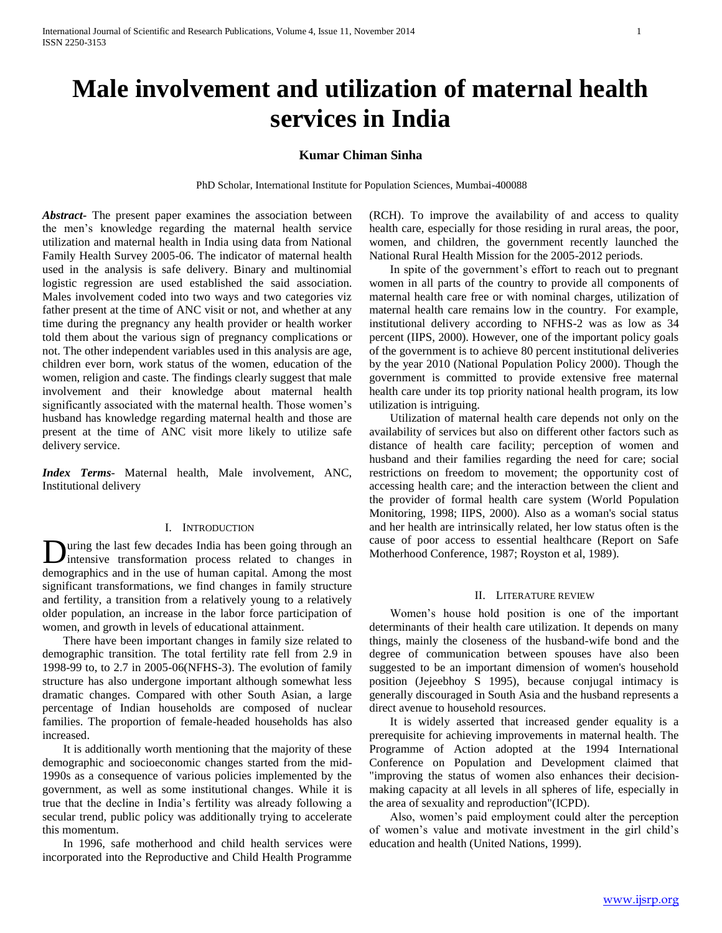# **Male involvement and utilization of maternal health services in India**

### **Kumar Chiman Sinha**

PhD Scholar, International Institute for Population Sciences, Mumbai-400088

*Abstract***-** The present paper examines the association between the men"s knowledge regarding the maternal health service utilization and maternal health in India using data from National Family Health Survey 2005-06. The indicator of maternal health used in the analysis is safe delivery. Binary and multinomial logistic regression are used established the said association. Males involvement coded into two ways and two categories viz father present at the time of ANC visit or not, and whether at any time during the pregnancy any health provider or health worker told them about the various sign of pregnancy complications or not. The other independent variables used in this analysis are age, children ever born, work status of the women, education of the women, religion and caste. The findings clearly suggest that male involvement and their knowledge about maternal health significantly associated with the maternal health. Those women"s husband has knowledge regarding maternal health and those are present at the time of ANC visit more likely to utilize safe delivery service.

*Index Terms*- Maternal health, Male involvement, ANC, Institutional delivery

### I. INTRODUCTION

uring the last few decades India has been going through an intensive transformation process related to changes in **D**uring the last few decades India has been going through an intensive transformation process related to changes in demographics and in the use of human capital. Among the most significant transformations, we find changes in family structure and fertility, a transition from a relatively young to a relatively older population, an increase in the labor force participation of women, and growth in levels of educational attainment.

 There have been important changes in family size related to demographic transition. The total fertility rate fell from 2.9 in 1998-99 to, to 2.7 in 2005-06(NFHS-3). The evolution of family structure has also undergone important although somewhat less dramatic changes. Compared with other South Asian, a large percentage of Indian households are composed of nuclear families. The proportion of female-headed households has also increased.

 It is additionally worth mentioning that the majority of these demographic and socioeconomic changes started from the mid-1990s as a consequence of various policies implemented by the government, as well as some institutional changes. While it is true that the decline in India"s fertility was already following a secular trend, public policy was additionally trying to accelerate this momentum.

 In 1996, safe motherhood and child health services were incorporated into the Reproductive and Child Health Programme

(RCH). To improve the availability of and access to quality health care, especially for those residing in rural areas, the poor, women, and children, the government recently launched the National Rural Health Mission for the 2005-2012 periods.

In spite of the government's effort to reach out to pregnant women in all parts of the country to provide all components of maternal health care free or with nominal charges, utilization of maternal health care remains low in the country. For example, institutional delivery according to NFHS-2 was as low as 34 percent (IIPS, 2000). However, one of the important policy goals of the government is to achieve 80 percent institutional deliveries by the year 2010 (National Population Policy 2000). Though the government is committed to provide extensive free maternal health care under its top priority national health program, its low utilization is intriguing.

 Utilization of maternal health care depends not only on the availability of services but also on different other factors such as distance of health care facility; perception of women and husband and their families regarding the need for care; social restrictions on freedom to movement; the opportunity cost of accessing health care; and the interaction between the client and the provider of formal health care system (World Population Monitoring, 1998; IIPS, 2000). Also as a woman's social status and her health are intrinsically related, her low status often is the cause of poor access to essential healthcare (Report on Safe Motherhood Conference, 1987; Royston et al, 1989).

#### II. LITERATURE REVIEW

 Women"s house hold position is one of the important determinants of their health care utilization. It depends on many things, mainly the closeness of the husband-wife bond and the degree of communication between spouses have also been suggested to be an important dimension of women's household position (Jejeebhoy S 1995), because conjugal intimacy is generally discouraged in South Asia and the husband represents a direct avenue to household resources.

 It is widely asserted that increased gender equality is a prerequisite for achieving improvements in maternal health. The Programme of Action adopted at the 1994 International Conference on Population and Development claimed that "improving the status of women also enhances their decisionmaking capacity at all levels in all spheres of life, especially in the area of sexuality and reproduction"(ICPD).

 Also, women"s paid employment could alter the perception of women"s value and motivate investment in the girl child"s education and health (United Nations, 1999).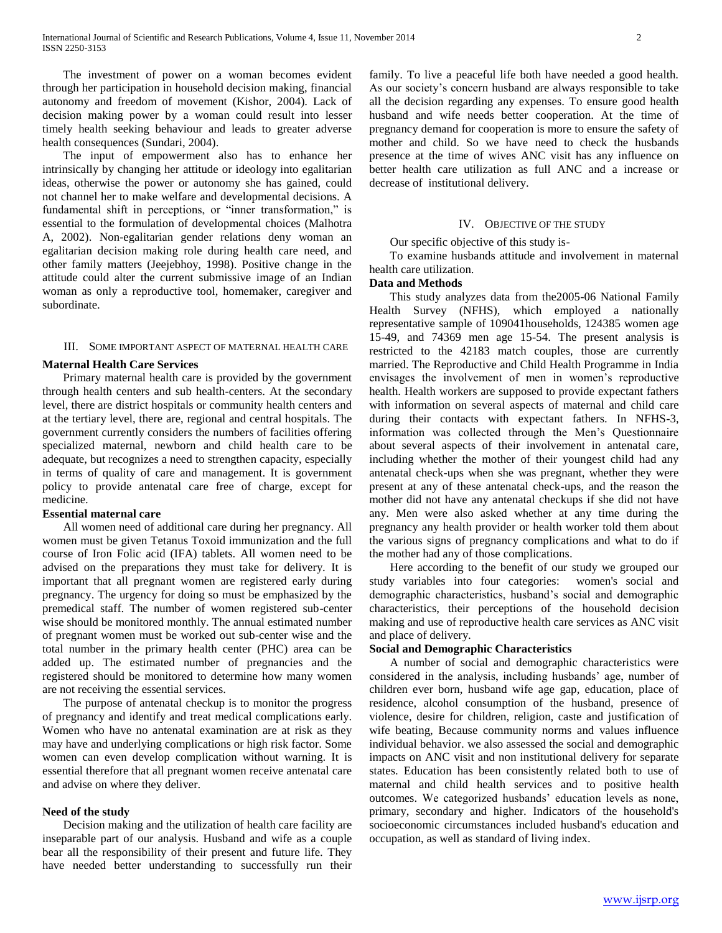The investment of power on a woman becomes evident through her participation in household decision making, financial autonomy and freedom of movement (Kishor, 2004). Lack of decision making power by a woman could result into lesser timely health seeking behaviour and leads to greater adverse health consequences (Sundari, 2004).

 The input of empowerment also has to enhance her intrinsically by changing her attitude or ideology into egalitarian ideas, otherwise the power or autonomy she has gained, could not channel her to make welfare and developmental decisions. A fundamental shift in perceptions, or "inner transformation," is essential to the formulation of developmental choices (Malhotra A, 2002). Non-egalitarian gender relations deny woman an egalitarian decision making role during health care need, and other family matters (Jeejebhoy, 1998). Positive change in the attitude could alter the current submissive image of an Indian woman as only a reproductive tool, homemaker, caregiver and subordinate.

#### III. SOME IMPORTANT ASPECT OF MATERNAL HEALTH CARE

#### **Maternal Health Care Services**

 Primary maternal health care is provided by the government through health centers and sub health-centers. At the secondary level, there are district hospitals or community health centers and at the tertiary level, there are, regional and central hospitals. The government currently considers the numbers of facilities offering specialized maternal, newborn and child health care to be adequate, but recognizes a need to strengthen capacity, especially in terms of quality of care and management. It is government policy to provide antenatal care free of charge, except for medicine.

#### **Essential maternal care**

 All women need of additional care during her pregnancy. All women must be given Tetanus Toxoid immunization and the full course of Iron Folic acid (IFA) tablets. All women need to be advised on the preparations they must take for delivery. It is important that all pregnant women are registered early during pregnancy. The urgency for doing so must be emphasized by the premedical staff. The number of women registered sub-center wise should be monitored monthly. The annual estimated number of pregnant women must be worked out sub-center wise and the total number in the primary health center (PHC) area can be added up. The estimated number of pregnancies and the registered should be monitored to determine how many women are not receiving the essential services.

 The purpose of antenatal checkup is to monitor the progress of pregnancy and identify and treat medical complications early. Women who have no antenatal examination are at risk as they may have and underlying complications or high risk factor. Some women can even develop complication without warning. It is essential therefore that all pregnant women receive antenatal care and advise on where they deliver.

#### **Need of the study**

 Decision making and the utilization of health care facility are inseparable part of our analysis. Husband and wife as a couple bear all the responsibility of their present and future life. They have needed better understanding to successfully run their family. To live a peaceful life both have needed a good health. As our society's concern husband are always responsible to take all the decision regarding any expenses. To ensure good health husband and wife needs better cooperation. At the time of pregnancy demand for cooperation is more to ensure the safety of mother and child. So we have need to check the husbands presence at the time of wives ANC visit has any influence on better health care utilization as full ANC and a increase or decrease of institutional delivery.

#### IV. OBJECTIVE OF THE STUDY

Our specific objective of this study is-

 To examine husbands attitude and involvement in maternal health care utilization.

#### **Data and Methods**

 This study analyzes data from the2005-06 National Family Health Survey (NFHS), which employed a nationally representative sample of 109041households, 124385 women age 15-49, and 74369 men age 15-54. The present analysis is restricted to the 42183 match couples, those are currently married. The Reproductive and Child Health Programme in India envisages the involvement of men in women"s reproductive health. Health workers are supposed to provide expectant fathers with information on several aspects of maternal and child care during their contacts with expectant fathers. In NFHS-3, information was collected through the Men"s Questionnaire about several aspects of their involvement in antenatal care, including whether the mother of their youngest child had any antenatal check-ups when she was pregnant, whether they were present at any of these antenatal check-ups, and the reason the mother did not have any antenatal checkups if she did not have any. Men were also asked whether at any time during the pregnancy any health provider or health worker told them about the various signs of pregnancy complications and what to do if the mother had any of those complications.

 Here according to the benefit of our study we grouped our study variables into four categories: women's social and demographic characteristics, husband"s social and demographic characteristics, their perceptions of the household decision making and use of reproductive health care services as ANC visit and place of delivery.

### **Social and Demographic Characteristics**

 A number of social and demographic characteristics were considered in the analysis, including husbands' age, number of children ever born, husband wife age gap, education, place of residence, alcohol consumption of the husband, presence of violence, desire for children, religion, caste and justification of wife beating, Because community norms and values influence individual behavior. we also assessed the social and demographic impacts on ANC visit and non institutional delivery for separate states. Education has been consistently related both to use of maternal and child health services and to positive health outcomes. We categorized husbands" education levels as none, primary, secondary and higher. Indicators of the household's socioeconomic circumstances included husband's education and occupation, as well as standard of living index.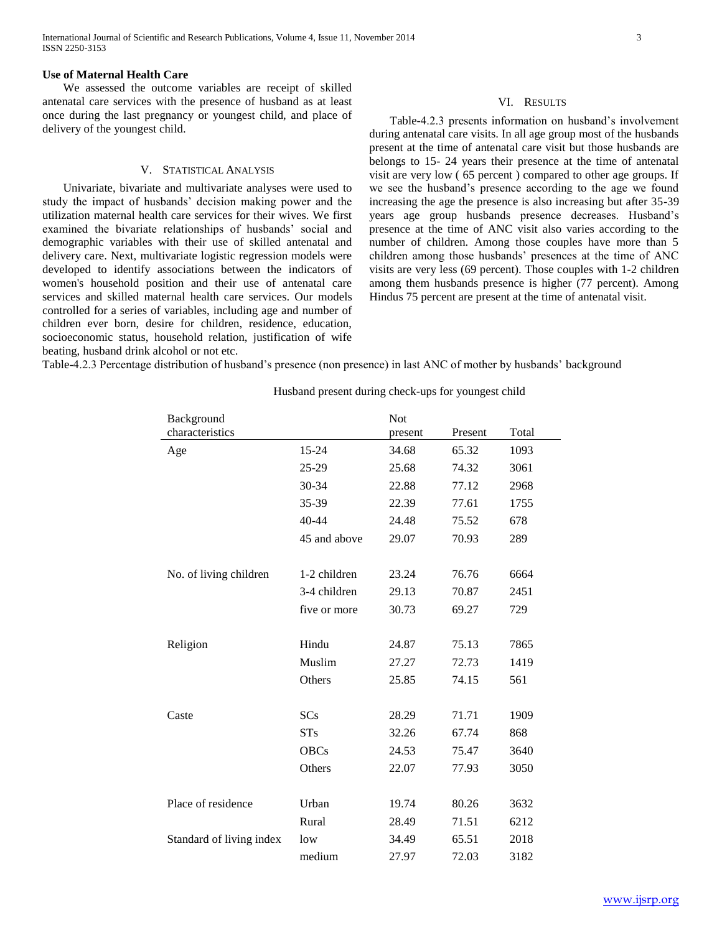#### **Use of Maternal Health Care**

 We assessed the outcome variables are receipt of skilled antenatal care services with the presence of husband as at least once during the last pregnancy or youngest child, and place of delivery of the youngest child.

#### V. STATISTICAL ANALYSIS

 Univariate, bivariate and multivariate analyses were used to study the impact of husbands" decision making power and the utilization maternal health care services for their wives. We first examined the bivariate relationships of husbands' social and demographic variables with their use of skilled antenatal and delivery care. Next, multivariate logistic regression models were developed to identify associations between the indicators of women's household position and their use of antenatal care services and skilled maternal health care services. Our models controlled for a series of variables, including age and number of children ever born, desire for children, residence, education, socioeconomic status, household relation, justification of wife beating, husband drink alcohol or not etc.

VI. RESULTS

 Table-4.2.3 presents information on husband"s involvement during antenatal care visits. In all age group most of the husbands present at the time of antenatal care visit but those husbands are belongs to 15- 24 years their presence at the time of antenatal visit are very low ( 65 percent ) compared to other age groups. If we see the husband"s presence according to the age we found increasing the age the presence is also increasing but after 35-39 years age group husbands presence decreases. Husband"s presence at the time of ANC visit also varies according to the number of children. Among those couples have more than 5 children among those husbands" presences at the time of ANC visits are very less (69 percent). Those couples with 1-2 children among them husbands presence is higher (77 percent). Among Hindus 75 percent are present at the time of antenatal visit.

Table-4.2.3 Percentage distribution of husband"s presence (non presence) in last ANC of mother by husbands" background

| Background               |              | <b>Not</b> |         |       |
|--------------------------|--------------|------------|---------|-------|
| characteristics          |              | present    | Present | Total |
| Age                      | 15-24        | 34.68      | 65.32   | 1093  |
|                          | 25-29        | 25.68      | 74.32   | 3061  |
|                          | 30-34        | 22.88      | 77.12   | 2968  |
|                          | 35-39        | 22.39      | 77.61   | 1755  |
|                          | 40-44        | 24.48      | 75.52   | 678   |
|                          | 45 and above | 29.07      | 70.93   | 289   |
|                          |              |            |         |       |
| No. of living children   | 1-2 children | 23.24      | 76.76   | 6664  |
|                          | 3-4 children | 29.13      | 70.87   | 2451  |
|                          | five or more | 30.73      | 69.27   | 729   |
|                          |              |            |         |       |
| Religion                 | Hindu        | 24.87      | 75.13   | 7865  |
|                          | Muslim       | 27.27      | 72.73   | 1419  |
|                          | Others       | 25.85      | 74.15   | 561   |
|                          |              |            |         |       |
| Caste                    | SCs          | 28.29      | 71.71   | 1909  |
|                          | STs          | 32.26      | 67.74   | 868   |
|                          | <b>OBCs</b>  | 24.53      | 75.47   | 3640  |
|                          | Others       | 22.07      | 77.93   | 3050  |
|                          |              |            |         |       |
| Place of residence       | Urban        | 19.74      | 80.26   | 3632  |
|                          | Rural        | 28.49      | 71.51   | 6212  |
| Standard of living index | low          | 34.49      | 65.51   | 2018  |
|                          | medium       | 27.97      | 72.03   | 3182  |

#### Husband present during check-ups for youngest child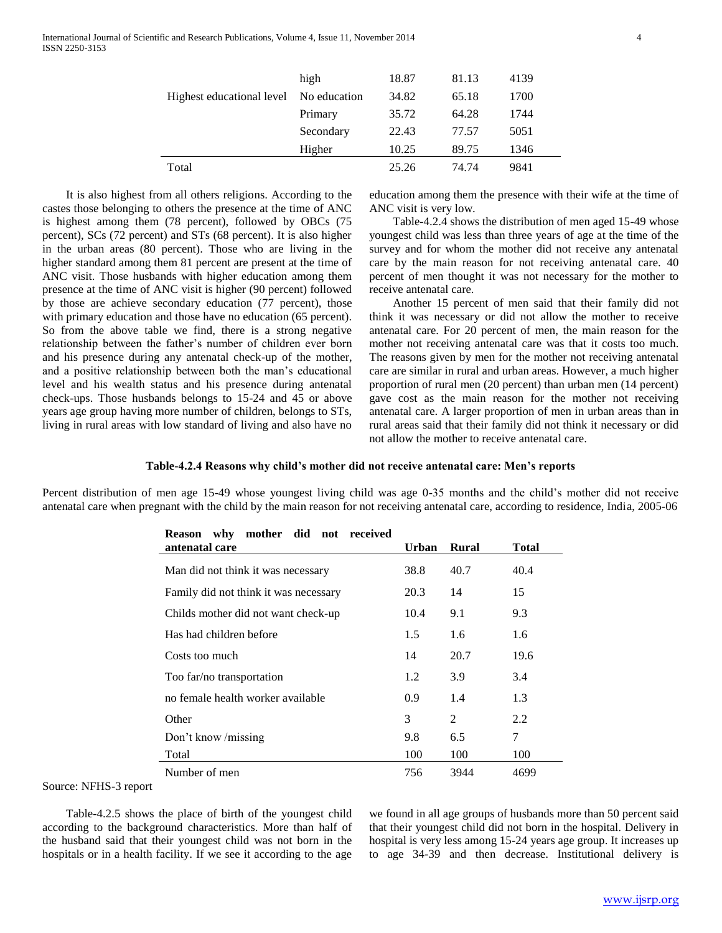|                                        | high      | 18.87 | 81.13 | 4139 |
|----------------------------------------|-----------|-------|-------|------|
| Highest educational level No education |           | 34.82 | 65.18 | 1700 |
|                                        | Primary   | 35.72 | 64.28 | 1744 |
|                                        | Secondary | 22.43 | 77.57 | 5051 |
|                                        | Higher    | 10.25 | 89.75 | 1346 |
| Total                                  |           | 25.26 | 74.74 | 9841 |

 It is also highest from all others religions. According to the castes those belonging to others the presence at the time of ANC is highest among them (78 percent), followed by OBCs (75 percent), SCs (72 percent) and STs (68 percent). It is also higher in the urban areas (80 percent). Those who are living in the higher standard among them 81 percent are present at the time of ANC visit. Those husbands with higher education among them presence at the time of ANC visit is higher (90 percent) followed by those are achieve secondary education (77 percent), those with primary education and those have no education (65 percent). So from the above table we find, there is a strong negative relationship between the father"s number of children ever born and his presence during any antenatal check-up of the mother, and a positive relationship between both the man"s educational level and his wealth status and his presence during antenatal check-ups. Those husbands belongs to 15-24 and 45 or above years age group having more number of children, belongs to STs, living in rural areas with low standard of living and also have no

education among them the presence with their wife at the time of ANC visit is very low.

 Table-4.2.4 shows the distribution of men aged 15-49 whose youngest child was less than three years of age at the time of the survey and for whom the mother did not receive any antenatal care by the main reason for not receiving antenatal care. 40 percent of men thought it was not necessary for the mother to receive antenatal care.

 Another 15 percent of men said that their family did not think it was necessary or did not allow the mother to receive antenatal care. For 20 percent of men, the main reason for the mother not receiving antenatal care was that it costs too much. The reasons given by men for the mother not receiving antenatal care are similar in rural and urban areas. However, a much higher proportion of rural men (20 percent) than urban men (14 percent) gave cost as the main reason for the mother not receiving antenatal care. A larger proportion of men in urban areas than in rural areas said that their family did not think it necessary or did not allow the mother to receive antenatal care.

#### **Table-4.2.4 Reasons why child's mother did not receive antenatal care: Men's reports**

Percent distribution of men age 15-49 whose youngest living child was age 0-35 months and the child"s mother did not receive antenatal care when pregnant with the child by the main reason for not receiving antenatal care, according to residence, India, 2005-06

| mother did not received<br><b>Reason</b> why<br>antenatal care | Urban | <b>Rural</b>  | Total |
|----------------------------------------------------------------|-------|---------------|-------|
| Man did not think it was necessary                             | 38.8  | 40.7          | 40.4  |
| Family did not think it was necessary                          | 20.3  | 14            | 15    |
| Childs mother did not want check-up                            | 10.4  | 9.1           | 9.3   |
| Has had children before                                        | 1.5   | 1.6           | 1.6   |
| Costs too much                                                 | 14    | 20.7          | 19.6  |
| Too far/no transportation                                      | 1.2   | 3.9           | 3.4   |
| no female health worker available                              | 0.9   | 1.4           | 1.3   |
| Other                                                          | 3     | $\mathcal{L}$ | 2.2   |
| Don't know /missing                                            | 9.8   | 6.5           | 7     |
| Total                                                          | 100   | 100           | 100   |
| Number of men                                                  | 756   | 3944          | 4699  |

Source: NFHS-3 report

 Table-4.2.5 shows the place of birth of the youngest child according to the background characteristics. More than half of the husband said that their youngest child was not born in the hospitals or in a health facility. If we see it according to the age

we found in all age groups of husbands more than 50 percent said that their youngest child did not born in the hospital. Delivery in hospital is very less among 15-24 years age group. It increases up to age 34-39 and then decrease. Institutional delivery is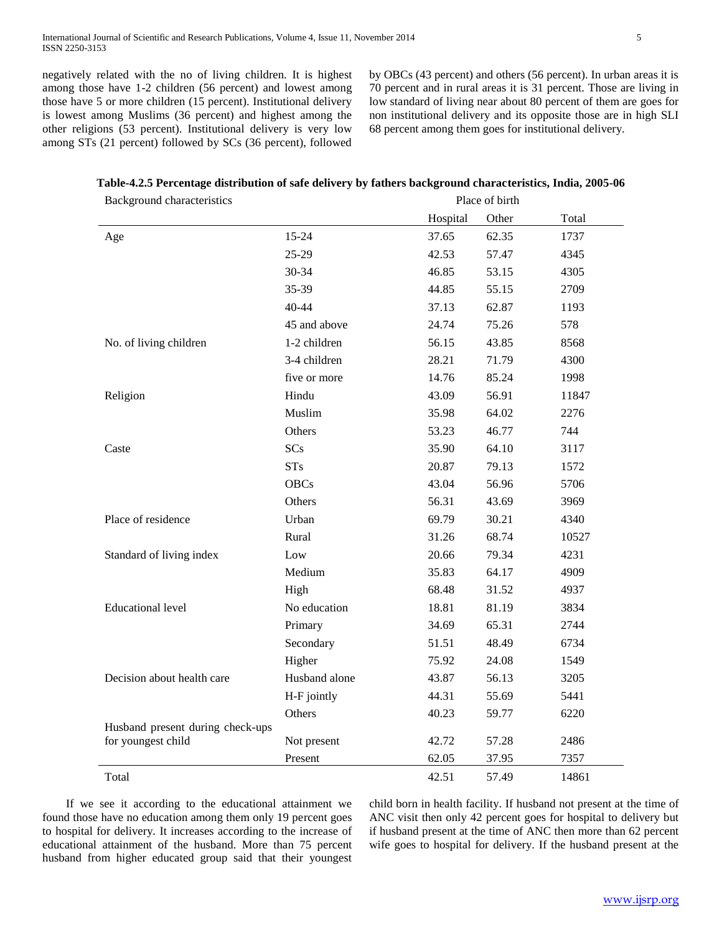negatively related with the no of living children. It is highest among those have 1-2 children (56 percent) and lowest among those have 5 or more children (15 percent). Institutional delivery is lowest among Muslims (36 percent) and highest among the other religions (53 percent). Institutional delivery is very low among STs (21 percent) followed by SCs (36 percent), followed

by OBCs (43 percent) and others (56 percent). In urban areas it is 70 percent and in rural areas it is 31 percent. Those are living in low standard of living near about 80 percent of them are goes for non institutional delivery and its opposite those are in high SLI 68 percent among them goes for institutional delivery.

#### **Table-4.2.5 Percentage distribution of safe delivery by fathers background characteristics, India, 2005-06**

| <b>Background characteristics</b> |                        | Place of birth |                |              |
|-----------------------------------|------------------------|----------------|----------------|--------------|
|                                   |                        | Hospital       | Other          | Total        |
| Age                               | 15-24                  | 37.65          | 62.35          | 1737         |
|                                   | 25-29                  | 42.53          | 57.47          | 4345         |
|                                   | 30-34                  | 46.85          | 53.15          | 4305         |
|                                   | 35-39                  | 44.85          | 55.15          | 2709         |
|                                   | 40-44                  | 37.13          | 62.87          | 1193         |
|                                   | 45 and above           | 24.74          | 75.26          | 578          |
| No. of living children            | 1-2 children           | 56.15          | 43.85          | 8568         |
|                                   | 3-4 children           | 28.21          | 71.79          | 4300         |
|                                   | five or more           | 14.76          | 85.24          | 1998         |
| Religion                          | Hindu                  | 43.09          | 56.91          | 11847        |
|                                   | Muslim                 | 35.98          | 64.02          | 2276         |
|                                   | Others                 | 53.23          | 46.77          | 744          |
| Caste                             | SCs                    | 35.90          | 64.10          | 3117         |
|                                   | <b>STs</b>             | 20.87          | 79.13          | 1572         |
|                                   | <b>OBCs</b>            | 43.04          | 56.96          | 5706         |
|                                   | Others                 | 56.31          | 43.69          | 3969         |
| Place of residence                | Urban                  | 69.79          | 30.21          | 4340         |
|                                   | Rural                  | 31.26          | 68.74          | 10527        |
| Standard of living index          | Low                    | 20.66          | 79.34          | 4231         |
|                                   | Medium                 | 35.83          | 64.17          | 4909         |
|                                   | High                   | 68.48          | 31.52          | 4937         |
| <b>Educational level</b>          | No education           | 18.81          | 81.19          | 3834         |
|                                   | Primary                | 34.69          | 65.31          | 2744         |
|                                   | Secondary              | 51.51          | 48.49          | 6734         |
|                                   | Higher                 | 75.92          | 24.08          | 1549         |
| Decision about health care        | Husband alone          | 43.87          | 56.13          | 3205         |
|                                   | H-F jointly            | 44.31          | 55.69          | 5441         |
|                                   | Others                 | 40.23          | 59.77          | 6220         |
| Husband present during check-ups  |                        |                |                |              |
| for youngest child                | Not present<br>Present | 42.72<br>62.05 | 57.28<br>37.95 | 2486<br>7357 |
| Total                             |                        | 42.51          | 57.49          | 14861        |
|                                   |                        |                |                |              |

 If we see it according to the educational attainment we found those have no education among them only 19 percent goes to hospital for delivery. It increases according to the increase of educational attainment of the husband. More than 75 percent husband from higher educated group said that their youngest

child born in health facility. If husband not present at the time of ANC visit then only 42 percent goes for hospital to delivery but if husband present at the time of ANC then more than 62 percent wife goes to hospital for delivery. If the husband present at the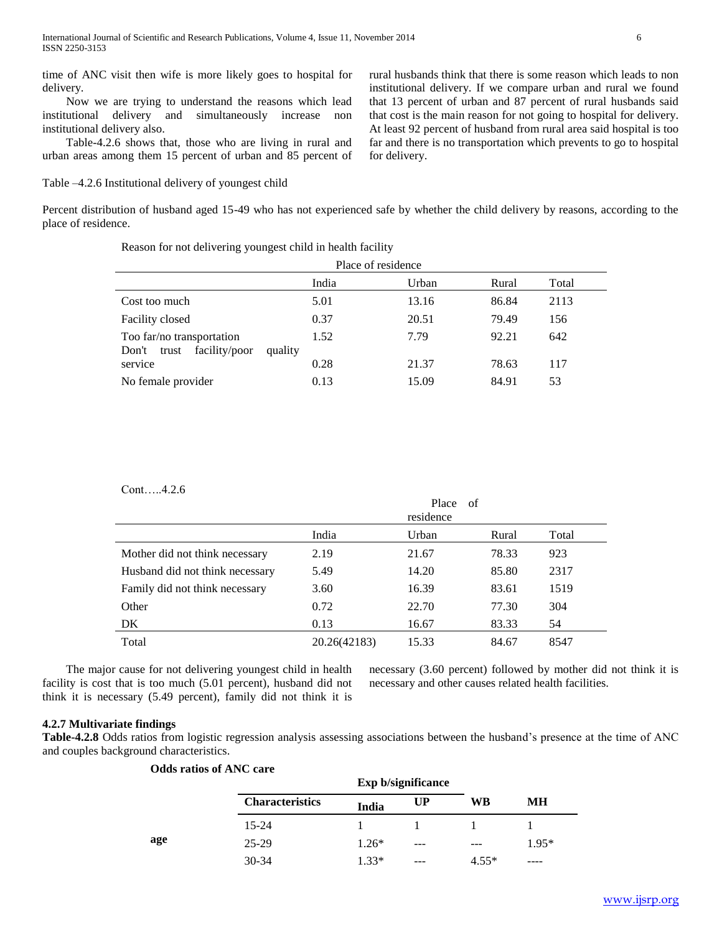time of ANC visit then wife is more likely goes to hospital for delivery.

 Now we are trying to understand the reasons which lead institutional delivery and simultaneously increase non institutional delivery also.

 Table-4.2.6 shows that, those who are living in rural and urban areas among them 15 percent of urban and 85 percent of

Table –4.2.6 Institutional delivery of youngest child

rural husbands think that there is some reason which leads to non institutional delivery. If we compare urban and rural we found that 13 percent of urban and 87 percent of rural husbands said that cost is the main reason for not going to hospital for delivery. At least 92 percent of husband from rural area said hospital is too far and there is no transportation which prevents to go to hospital for delivery.

Percent distribution of husband aged 15-49 who has not experienced safe by whether the child delivery by reasons, according to the place of residence.

Reason for not delivering youngest child in health facility

|                                                                         | Place of residence |       |       |       |  |
|-------------------------------------------------------------------------|--------------------|-------|-------|-------|--|
|                                                                         | India              | Urban | Rural | Total |  |
| Cost too much                                                           | 5.01               | 13.16 | 86.84 | 2113  |  |
| Facility closed                                                         | 0.37               | 20.51 | 79.49 | 156   |  |
| Too far/no transportation<br>facility/poor<br>quality<br>Don't<br>trust | 1.52               | 7.79  | 92.21 | 642   |  |
| service                                                                 | 0.28               | 21.37 | 78.63 | 117   |  |
| No female provider                                                      | 0.13               | 15.09 | 84.91 | 53    |  |

Cont…..4.2.6

|                                 |              | Place<br>of<br>residence |       |       |
|---------------------------------|--------------|--------------------------|-------|-------|
|                                 | India        | Urban                    | Rural | Total |
| Mother did not think necessary  | 2.19         | 21.67                    | 78.33 | 923   |
| Husband did not think necessary | 5.49         | 14.20                    | 85.80 | 2317  |
| Family did not think necessary  | 3.60         | 16.39                    | 83.61 | 1519  |
| Other                           | 0.72         | 22.70                    | 77.30 | 304   |
| DK.                             | 0.13         | 16.67                    | 83.33 | 54    |
| Total                           | 20.26(42183) | 15.33                    | 84.67 | 8547  |

 The major cause for not delivering youngest child in health facility is cost that is too much (5.01 percent), husband did not think it is necessary (5.49 percent), family did not think it is

necessary (3.60 percent) followed by mother did not think it is necessary and other causes related health facilities.

#### **4.2.7 Multivariate findings**

**Table-4.2.8** Odds ratios from logistic regression analysis assessing associations between the husband"s presence at the time of ANC and couples background characteristics.

|     | <b>Odds ratios of ANC care</b> |         |                           |         |         |
|-----|--------------------------------|---------|---------------------------|---------|---------|
|     |                                |         | <b>Exp b/significance</b> |         |         |
|     | <b>Characteristics</b>         | India   | <b>UP</b>                 | WВ      | MН      |
|     | $15 - 24$                      |         |                           |         |         |
| age | $25-29$                        | $1.26*$ | ---                       |         | $1.95*$ |
|     | $30 - 34$                      | $1.33*$ | ---                       | $4.55*$ |         |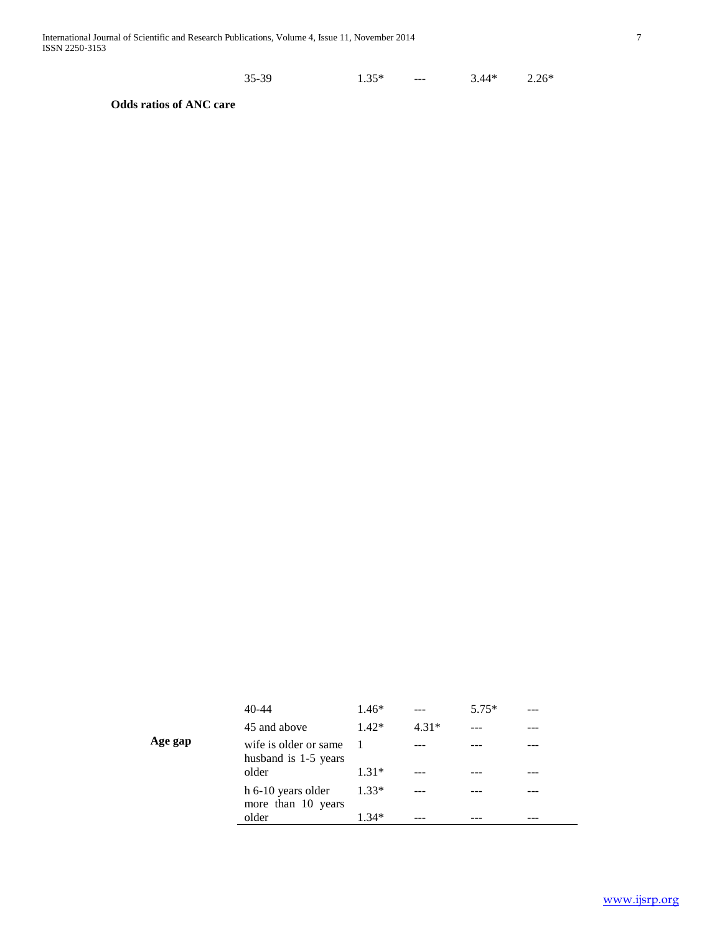| $35-39$ | $1.35*$<br>--- | $2.26*$<br>$3.44*$ |
|---------|----------------|--------------------|
|         |                |                    |

**Odds ratios of ANC care**

|         | $40-44$                                       | $1.46*$ | $- - -$ | $5.75*$ | --- |
|---------|-----------------------------------------------|---------|---------|---------|-----|
|         | 45 and above                                  | $1.42*$ | $4.31*$ |         |     |
| Age gap | wife is older or same<br>husband is 1-5 years |         |         |         |     |
|         | older                                         | $1.31*$ |         |         |     |
|         | h 6-10 years older<br>more than 10 years      | $1.33*$ |         |         |     |
|         | older                                         | 1 34*   |         |         |     |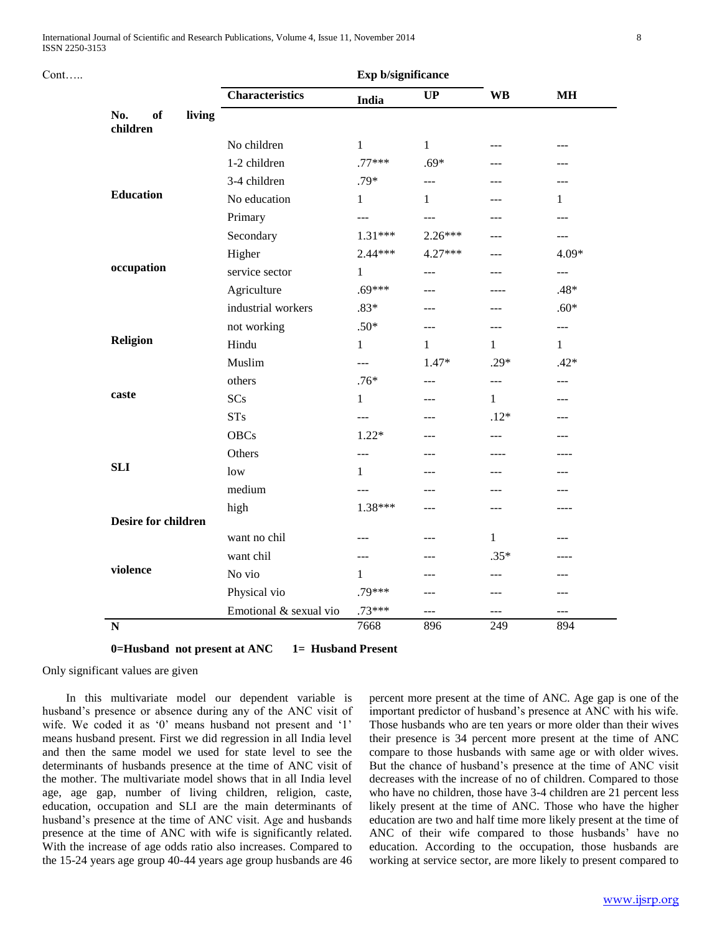Cont…..

|                                 | Exp b/significance     |              |                |                |                |
|---------------------------------|------------------------|--------------|----------------|----------------|----------------|
|                                 | <b>Characteristics</b> | India        | <b>UP</b>      | <b>WB</b>      | <b>MH</b>      |
| of<br>living<br>No.<br>children |                        |              |                |                |                |
|                                 | No children            | $\mathbf{1}$ | $\mathbf{1}$   | ---            | ---            |
|                                 | 1-2 children           | $.77***$     | $.69*$         | ---            |                |
|                                 | 3-4 children           | $.79*$       | $\overline{a}$ | ---            | ---            |
| <b>Education</b>                | No education           | 1            | 1              | ---            | 1              |
|                                 | Primary                | ---          | ---            | ---            | ---            |
|                                 | Secondary              | $1.31***$    | $2.26***$      |                | ---            |
|                                 | Higher                 | $2.44***$    | 4.27***        | ---            | $4.09*$        |
| occupation                      | service sector         | 1            | $\overline{a}$ | ---            | $\overline{a}$ |
|                                 | Agriculture            | $.69***$     | $---$          | ----           | .48*           |
|                                 | industrial workers     | $.83*$       | ---            | ---            | $.60*$         |
|                                 | not working            | $.50*$       | ---            | ---            | $---$          |
| <b>Religion</b>                 | Hindu                  | $\mathbf{1}$ | 1              | 1              | $\mathbf{1}$   |
|                                 | Muslim                 | ---          | $1.47*$        | $.29*$         | $.42*$         |
|                                 | others                 | $.76*$       | ---            | $\overline{a}$ | ---            |
| caste                           | SCs                    | $\mathbf{1}$ |                | 1              |                |
|                                 | <b>STs</b>             | ---          | ---            | $.12*$         | ---            |
|                                 | <b>OBCs</b>            | $1.22*$      | ---            | $---$          | ---            |
|                                 | Others                 | $---$        | ---            | ----           | ----           |
| <b>SLI</b>                      | low                    | 1            |                |                |                |
|                                 | medium                 | $---$        | ---            | ---            | ---            |
|                                 | high                   | 1.38***      | ---            | $---$          | ----           |
| <b>Desire for children</b>      |                        |              |                |                |                |
|                                 | want no chil           | $---$        | ---            | $\mathbf{1}$   | ---            |
| violence                        | want chil              | $---$        | ---            | $.35*$         | ----           |
|                                 | No vio                 | 1            | ---            | $---$          | ---            |
|                                 | Physical vio           | .79***       | ---            | ---            |                |
|                                 | Emotional & sexual vio | $.73***$     | ---            | $- - -$        | $---$          |
| $\overline{\mathbf{N}}$         |                        | 7668         | 896            | 249            | 894            |

**Exp b/significance**

**0=Husband not present at ANC 1= Husband Present**

Only significant values are given

 In this multivariate model our dependent variable is husband"s presence or absence during any of the ANC visit of wife. We coded it as '0' means husband not present and '1' means husband present. First we did regression in all India level and then the same model we used for state level to see the determinants of husbands presence at the time of ANC visit of the mother. The multivariate model shows that in all India level age, age gap, number of living children, religion, caste, education, occupation and SLI are the main determinants of husband"s presence at the time of ANC visit. Age and husbands presence at the time of ANC with wife is significantly related. With the increase of age odds ratio also increases. Compared to the 15-24 years age group 40-44 years age group husbands are 46

percent more present at the time of ANC. Age gap is one of the important predictor of husband's presence at ANC with his wife. Those husbands who are ten years or more older than their wives their presence is 34 percent more present at the time of ANC compare to those husbands with same age or with older wives. But the chance of husband"s presence at the time of ANC visit decreases with the increase of no of children. Compared to those who have no children, those have 3-4 children are 21 percent less likely present at the time of ANC. Those who have the higher education are two and half time more likely present at the time of ANC of their wife compared to those husbands' have no education. According to the occupation, those husbands are working at service sector, are more likely to present compared to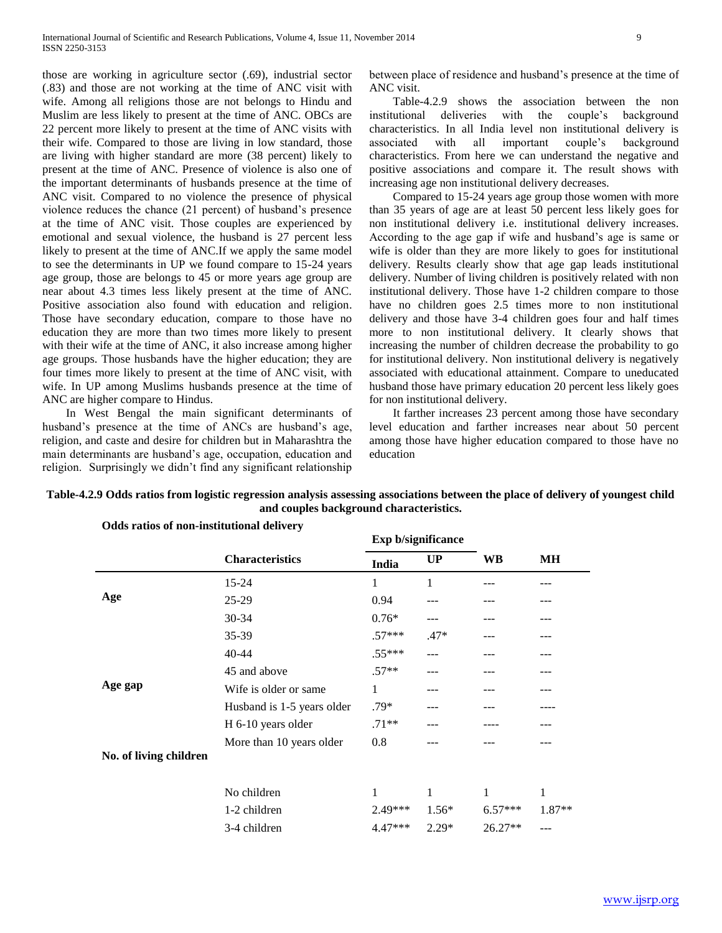those are working in agriculture sector (.69), industrial sector (.83) and those are not working at the time of ANC visit with wife. Among all religions those are not belongs to Hindu and Muslim are less likely to present at the time of ANC. OBCs are 22 percent more likely to present at the time of ANC visits with their wife. Compared to those are living in low standard, those are living with higher standard are more (38 percent) likely to present at the time of ANC. Presence of violence is also one of the important determinants of husbands presence at the time of ANC visit. Compared to no violence the presence of physical violence reduces the chance (21 percent) of husband"s presence at the time of ANC visit. Those couples are experienced by emotional and sexual violence, the husband is 27 percent less likely to present at the time of ANC.If we apply the same model to see the determinants in UP we found compare to 15-24 years age group, those are belongs to 45 or more years age group are near about 4.3 times less likely present at the time of ANC. Positive association also found with education and religion. Those have secondary education, compare to those have no education they are more than two times more likely to present with their wife at the time of ANC, it also increase among higher age groups. Those husbands have the higher education; they are four times more likely to present at the time of ANC visit, with wife. In UP among Muslims husbands presence at the time of ANC are higher compare to Hindus.

 In West Bengal the main significant determinants of husband's presence at the time of ANCs are husband's age, religion, and caste and desire for children but in Maharashtra the main determinants are husband"s age, occupation, education and religion. Surprisingly we didn"t find any significant relationship between place of residence and husband"s presence at the time of ANC visit.

 Table-4.2.9 shows the association between the non institutional deliveries with the couple"s background characteristics. In all India level non institutional delivery is associated with all important couple"s background characteristics. From here we can understand the negative and positive associations and compare it. The result shows with increasing age non institutional delivery decreases.

 Compared to 15-24 years age group those women with more than 35 years of age are at least 50 percent less likely goes for non institutional delivery i.e. institutional delivery increases. According to the age gap if wife and husband"s age is same or wife is older than they are more likely to goes for institutional delivery. Results clearly show that age gap leads institutional delivery. Number of living children is positively related with non institutional delivery. Those have 1-2 children compare to those have no children goes 2.5 times more to non institutional delivery and those have 3-4 children goes four and half times more to non institutional delivery. It clearly shows that increasing the number of children decrease the probability to go for institutional delivery. Non institutional delivery is negatively associated with educational attainment. Compare to uneducated husband those have primary education 20 percent less likely goes for non institutional delivery.

 It farther increases 23 percent among those have secondary level education and farther increases near about 50 percent among those have higher education compared to those have no education

| <b>UP</b><br>1<br>$---$<br>$.47*$<br>--- | <b>WB</b> | MН       |
|------------------------------------------|-----------|----------|
|                                          |           |          |
|                                          |           |          |
|                                          |           |          |
|                                          |           |          |
|                                          |           |          |
|                                          |           |          |
|                                          |           |          |
|                                          |           |          |
| ---                                      |           |          |
|                                          |           |          |
| ---                                      |           |          |
| 1                                        | 1         | 1        |
| $1.56*$                                  | $6.57***$ | $1.87**$ |
|                                          | $26.27**$ | ---      |
|                                          | $2.29*$   |          |

### **Table-4.2.9 Odds ratios from logistic regression analysis assessing associations between the place of delivery of youngest child and couples background characteristics.**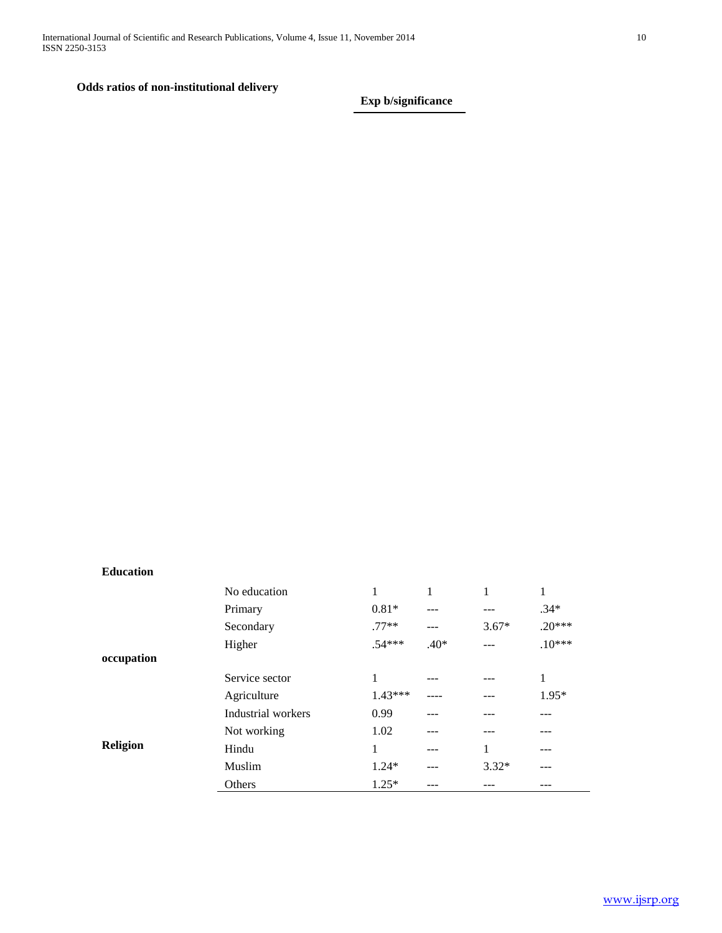## **Odds ratios of non-institutional delivery**

**Exp b/significance**

**Education** 

|                 | No education       |           |        | 1       |          |
|-----------------|--------------------|-----------|--------|---------|----------|
|                 | Primary            | $0.81*$   |        |         | $.34*$   |
|                 | Secondary          | $.77**$   | ---    | $3.67*$ | $.20***$ |
|                 | Higher             | $.54***$  | $.40*$ |         | $.10***$ |
| occupation      |                    |           |        |         |          |
|                 | Service sector     | 1         |        |         | 1        |
|                 | Agriculture        | $1.43***$ |        |         | $1.95*$  |
|                 | Industrial workers | 0.99      |        |         |          |
|                 | Not working        | 1.02      |        |         |          |
| <b>Religion</b> | Hindu              | 1         |        | 1       |          |
|                 | Muslim             | $1.24*$   | ---    | $3.32*$ | ---      |
|                 | Others             | $1.25*$   |        |         | ---      |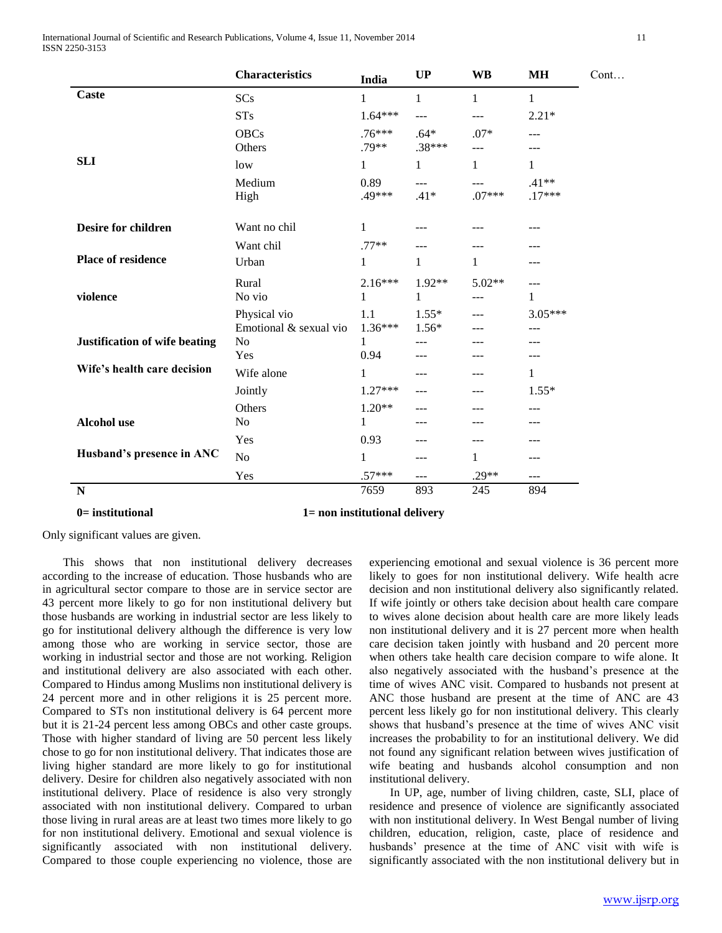International Journal of Scientific and Research Publications, Volume 4, Issue 11, November 2014 11 ISSN 2250-3153

|                               | <b>Characteristics</b>                 | India               | <b>UP</b>                | <b>WB</b>                | МH                  |
|-------------------------------|----------------------------------------|---------------------|--------------------------|--------------------------|---------------------|
| Caste                         | <b>SCs</b>                             | 1                   | $\mathbf{1}$             | 1                        | 1                   |
|                               | <b>STs</b>                             | $1.64***$           | ---                      | ---                      | $2.21*$             |
|                               | <b>OBCs</b><br>Others                  | $.76***$<br>$.79**$ | $.64*$<br>$.38***$       | $.07*$<br>$\overline{a}$ | $---$               |
| <b>SLI</b>                    | low                                    | $\mathbf{1}$        | $\mathbf{1}$             | $\mathbf{1}$             | 1                   |
|                               | Medium<br>High                         | 0.89<br>.49***      | $\overline{a}$<br>$.41*$ | ---<br>$.07***$          | $.41**$<br>$.17***$ |
| <b>Desire for children</b>    | Want no chil                           | 1                   | ---                      |                          |                     |
|                               | Want chil                              | $.77**$             | ---                      |                          |                     |
| <b>Place of residence</b>     | Urban                                  | 1                   | $\mathbf{1}$             | 1                        | ---                 |
| violence                      | Rural<br>No vio                        | $2.16***$<br>1      | 1.92**<br>1              | $5.02**$<br>---          | 1                   |
|                               | Physical vio<br>Emotional & sexual vio | 1.1<br>$1.36***$    | $1.55*$<br>$1.56*$       |                          | 3.05***<br>---      |
| Justification of wife beating | No<br>Yes                              | 1<br>0.94           | ---<br>---               |                          |                     |
| Wife's health care decision   | Wife alone                             | 1                   | ---                      | ---                      | 1                   |
|                               | Jointly                                | $1.27***$           | $---$                    | ---                      | $1.55*$             |
|                               | Others                                 | $1.20**$            | $---$                    | ---                      | ---                 |
| <b>Alcohol</b> use            | No                                     | 1                   | ---                      | ---                      | ---                 |
|                               | Yes                                    | 0.93                | ---                      | ---                      | ---                 |
| Husband's presence in ANC     | N <sub>o</sub>                         | 1                   | ---                      | 1                        | ---                 |
|                               | Yes                                    | $.57***$            | ---                      | $.29**$                  | $---$               |
| ${\bf N}$                     |                                        | 7659                | 893                      | 245                      | 894                 |

#### **0= institutional 1= non institutional delivery**

Only significant values are given.

 This shows that non institutional delivery decreases according to the increase of education. Those husbands who are in agricultural sector compare to those are in service sector are 43 percent more likely to go for non institutional delivery but those husbands are working in industrial sector are less likely to go for institutional delivery although the difference is very low among those who are working in service sector, those are working in industrial sector and those are not working. Religion and institutional delivery are also associated with each other. Compared to Hindus among Muslims non institutional delivery is 24 percent more and in other religions it is 25 percent more. Compared to STs non institutional delivery is 64 percent more but it is 21-24 percent less among OBCs and other caste groups. Those with higher standard of living are 50 percent less likely chose to go for non institutional delivery. That indicates those are living higher standard are more likely to go for institutional delivery. Desire for children also negatively associated with non institutional delivery. Place of residence is also very strongly associated with non institutional delivery. Compared to urban those living in rural areas are at least two times more likely to go for non institutional delivery. Emotional and sexual violence is significantly associated with non institutional delivery. Compared to those couple experiencing no violence, those are

experiencing emotional and sexual violence is 36 percent more likely to goes for non institutional delivery. Wife health acre decision and non institutional delivery also significantly related. If wife jointly or others take decision about health care compare to wives alone decision about health care are more likely leads non institutional delivery and it is 27 percent more when health care decision taken jointly with husband and 20 percent more when others take health care decision compare to wife alone. It also negatively associated with the husband"s presence at the time of wives ANC visit. Compared to husbands not present at ANC those husband are present at the time of ANC are 43 percent less likely go for non institutional delivery. This clearly shows that husband"s presence at the time of wives ANC visit increases the probability to for an institutional delivery. We did not found any significant relation between wives justification of wife beating and husbands alcohol consumption and non institutional delivery.

 In UP, age, number of living children, caste, SLI, place of residence and presence of violence are significantly associated with non institutional delivery. In West Bengal number of living children, education, religion, caste, place of residence and husbands' presence at the time of ANC visit with wife is significantly associated with the non institutional delivery but in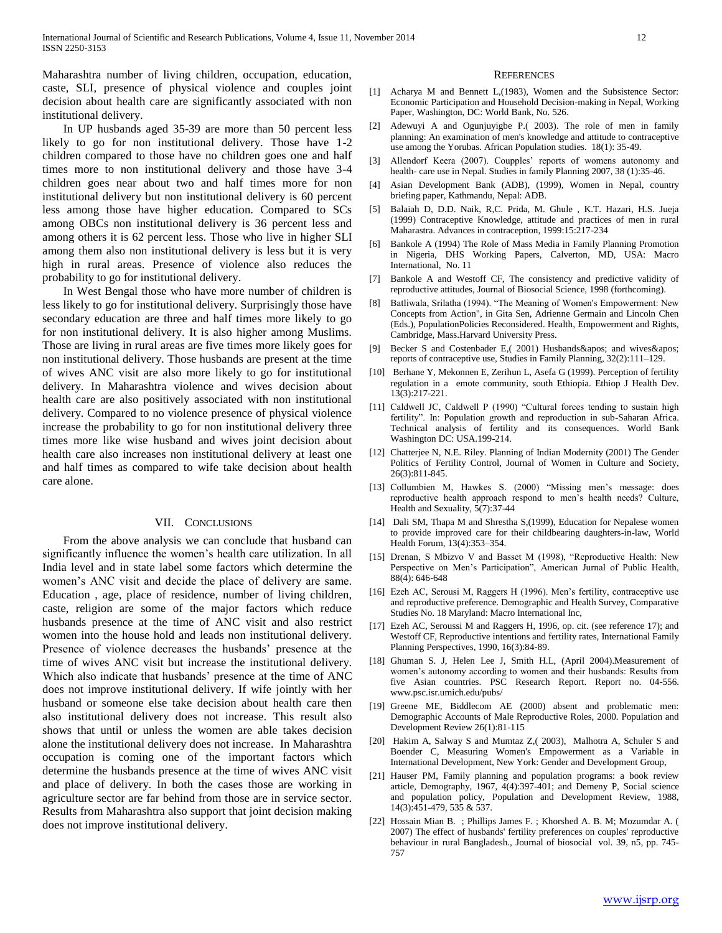Maharashtra number of living children, occupation, education, caste, SLI, presence of physical violence and couples joint decision about health care are significantly associated with non institutional delivery.

 In UP husbands aged 35-39 are more than 50 percent less likely to go for non institutional delivery. Those have 1-2 children compared to those have no children goes one and half times more to non institutional delivery and those have 3-4 children goes near about two and half times more for non institutional delivery but non institutional delivery is 60 percent less among those have higher education. Compared to SCs among OBCs non institutional delivery is 36 percent less and among others it is 62 percent less. Those who live in higher SLI among them also non institutional delivery is less but it is very high in rural areas. Presence of violence also reduces the probability to go for institutional delivery.

 In West Bengal those who have more number of children is less likely to go for institutional delivery. Surprisingly those have secondary education are three and half times more likely to go for non institutional delivery. It is also higher among Muslims. Those are living in rural areas are five times more likely goes for non institutional delivery. Those husbands are present at the time of wives ANC visit are also more likely to go for institutional delivery. In Maharashtra violence and wives decision about health care are also positively associated with non institutional delivery. Compared to no violence presence of physical violence increase the probability to go for non institutional delivery three times more like wise husband and wives joint decision about health care also increases non institutional delivery at least one and half times as compared to wife take decision about health care alone.

#### VII. CONCLUSIONS

 From the above analysis we can conclude that husband can significantly influence the women"s health care utilization. In all India level and in state label some factors which determine the women"s ANC visit and decide the place of delivery are same. Education , age, place of residence, number of living children, caste, religion are some of the major factors which reduce husbands presence at the time of ANC visit and also restrict women into the house hold and leads non institutional delivery. Presence of violence decreases the husbands" presence at the time of wives ANC visit but increase the institutional delivery. Which also indicate that husbands' presence at the time of ANC does not improve institutional delivery. If wife jointly with her husband or someone else take decision about health care then also institutional delivery does not increase. This result also shows that until or unless the women are able takes decision alone the institutional delivery does not increase. In Maharashtra occupation is coming one of the important factors which determine the husbands presence at the time of wives ANC visit and place of delivery. In both the cases those are working in agriculture sector are far behind from those are in service sector. Results from Maharashtra also support that joint decision making does not improve institutional delivery.

#### **REFERENCES**

- [1] Acharya M and Bennett L,(1983), Women and the Subsistence Sector: Economic Participation and Household Decision-making in Nepal, Working Paper, Washington, DC: World Bank, No. 526.
- [2] Adewuyi A and Ogunjuyigbe P.( 2003). The role of men in family planning: An examination of men's knowledge and attitude to contraceptive use among the Yorubas. African Population studies. 18(1): 35-49.
- [3] Allendorf Keera (2007). Coupples' reports of womens autonomy and health- care use in Nepal. Studies in family Planning 2007, 38 (1):35-46.
- [4] Asian Development Bank (ADB), (1999), Women in Nepal, country briefing paper, Kathmandu, Nepal: ADB.
- [5] Balaiah D, D.D. Naik, R,C. Prida, M. Ghule , K.T. Hazari, H.S. Jueja (1999) Contraceptive Knowledge, attitude and practices of men in rural Maharastra. Advances in contraception, 1999:15:217-234
- [6] Bankole A (1994) The Role of Mass Media in Family Planning Promotion in Nigeria, DHS Working Papers, Calverton, MD, USA: Macro International, No. 11
- [7] Bankole A and Westoff CF, The consistency and predictive validity of reproductive attitudes, Journal of Biosocial Science, 1998 (forthcoming).
- [8] Batliwala, Srilatha (1994). "The Meaning of Women's Empowerment: New Concepts from Action", in Gita Sen, Adrienne Germain and Lincoln Chen (Eds.), PopulationPolicies Reconsidered. Health, Empowerment and Rights, Cambridge, Mass.Harvard University Press.
- [9] Becker S and Costenbader E, (2001) Husbands & apos; and wives & apos; reports of contraceptive use, Studies in Family Planning, 32(2):111–129.
- [10] Berhane Y, Mekonnen E, Zerihun L, Asefa G (1999). Perception of fertility regulation in a emote community, south Ethiopia. Ethiop J Health Dev. 13(3):217-221.
- [11] Caldwell JC, Caldwell P (1990) "Cultural forces tending to sustain high fertility". In: Population growth and reproduction in sub-Saharan Africa. Technical analysis of fertility and its consequences. World Bank Washington DC: USA.199-214.
- [12] Chatterjee N, N.E. Riley. Planning of Indian Modernity (2001) The Gender Politics of Fertility Control, Journal of Women in Culture and Society, 26(3):811-845.
- [13] Collumbien M, Hawkes S. (2000) "Missing men's message: does reproductive health approach respond to men"s health needs? Culture, Health and Sexuality, 5(7):37-44
- [14] Dali SM, Thapa M and Shrestha S,(1999), Education for Nepalese women to provide improved care for their childbearing daughters-in-law, World Health Forum, 13(4):353–354.
- [15] Drenan, S Mbizvo V and Basset M (1998), "Reproductive Health: New Perspective on Men"s Participation", American Jurnal of Public Health, 88(4): 646-648
- [16] Ezeh AC, Serousi M, Raggers H (1996). Men's fertility, contraceptive use and reproductive preference. Demographic and Health Survey, Comparative Studies No. 18 Maryland: Macro International Inc,
- [17] Ezeh AC, Seroussi M and Raggers H, 1996, op. cit. (see reference 17); and Westoff CF, Reproductive intentions and fertility rates, International Family Planning Perspectives, 1990, 16(3):84-89.
- [18] Ghuman S. J, Helen Lee J, Smith H.L, (April 2004).Measurement of women"s autonomy according to women and their husbands: Results from five Asian countries. PSC Research Report. Report no. 04-556. www.psc.isr.umich.edu/pubs/
- [19] Greene ME, Biddlecom AE (2000) absent and problematic men: Demographic Accounts of Male Reproductive Roles, 2000. Population and Development Review 26(1):81-115
- [20] Hakim A, Salway S and Mumtaz Z,( 2003), Malhotra A, Schuler S and Boender C, Measuring Women's Empowerment as a Variable in International Development, New York: Gender and Development Group,
- [21] Hauser PM, Family planning and population programs: a book review article, Demography, 1967, 4(4):397-401; and Demeny P, Social science and population policy, Population and Development Review, 1988, 14(3):451-479, 535 & 537.
- [22] Hossain Mian B. ; Phillips James F. ; Khorshed A. B. M; Mozumdar A. ( 2007) The effect of husbands' fertility preferences on couples' reproductive behaviour in rural Bangladesh., Journal of biosocial vol. 39, n5, pp. 745- 757